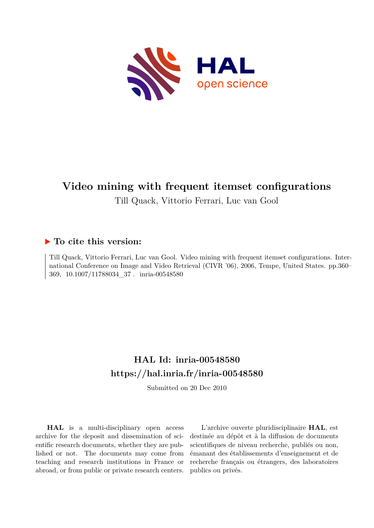

# **Video mining with frequent itemset configurations**

Till Quack, Vittorio Ferrari, Luc van Gool

# **To cite this version:**

Till Quack, Vittorio Ferrari, Luc van Gool. Video mining with frequent itemset configurations. International Conference on Image and Video Retrieval (CIVR '06), 2006, Tempe, United States. pp.360– 369, 10.1007/11788034 37. inria-00548580

# **HAL Id: inria-00548580 <https://hal.inria.fr/inria-00548580>**

Submitted on 20 Dec 2010

**HAL** is a multi-disciplinary open access archive for the deposit and dissemination of scientific research documents, whether they are published or not. The documents may come from teaching and research institutions in France or abroad, or from public or private research centers.

L'archive ouverte pluridisciplinaire **HAL**, est destinée au dépôt et à la diffusion de documents scientifiques de niveau recherche, publiés ou non, émanant des établissements d'enseignement et de recherche français ou étrangers, des laboratoires publics ou privés.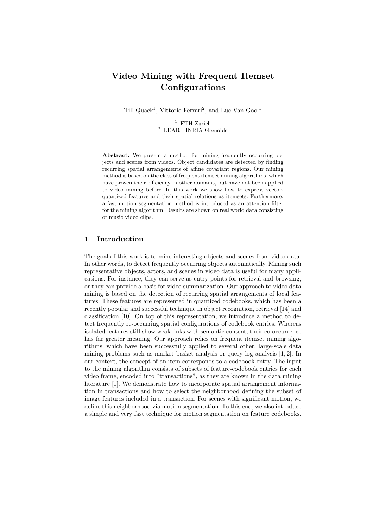# Video Mining with Frequent Itemset Configurations

Till Quack<sup>1</sup>, Vittorio Ferrari<sup>2</sup>, and Luc Van Gool<sup>1</sup>

 $^1\,$  ETH Zurich <sup>2</sup> LEAR - INRIA Grenoble

Abstract. We present a method for mining frequently occurring objects and scenes from videos. Object candidates are detected by finding recurring spatial arrangements of affine covariant regions. Our mining method is based on the class of frequent itemset mining algorithms, which have proven their efficiency in other domains, but have not been applied to video mining before. In this work we show how to express vectorquantized features and their spatial relations as itemsets. Furthermore, a fast motion segmentation method is introduced as an attention filter for the mining algorithm. Results are shown on real world data consisting of music video clips.

## 1 Introduction

The goal of this work is to mine interesting objects and scenes from video data. In other words, to detect frequently occurring objects automatically. Mining such representative objects, actors, and scenes in video data is useful for many applications. For instance, they can serve as entry points for retrieval and browsing, or they can provide a basis for video summarization. Our approach to video data mining is based on the detection of recurring spatial arrangements of local features. These features are represented in quantized codebooks, which has been a recently popular and successful technique in object recognition, retrieval [14] and classification [10]. On top of this representation, we introduce a method to detect frequently re-occurring spatial configurations of codebook entries. Whereas isolated features still show weak links with semantic content, their co-occurrence has far greater meaning. Our approach relies on frequent itemset mining algorithms, which have been successfully applied to several other, large-scale data mining problems such as market basket analysis or query log analysis [1, 2]. In our context, the concept of an item corresponds to a codebook entry. The input to the mining algorithm consists of subsets of feature-codebook entries for each video frame, encoded into "transactions", as they are known in the data mining literature [1]. We demonstrate how to incorporate spatial arrangement information in transactions and how to select the neighborhood defining the subset of image features included in a transaction. For scenes with significant motion, we define this neighborhood via motion segmentation. To this end, we also introduce a simple and very fast technique for motion segmentation on feature codebooks.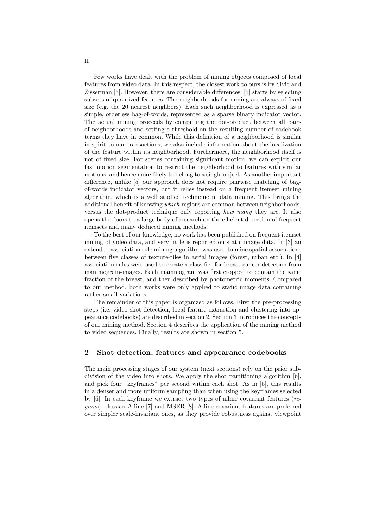Few works have dealt with the problem of mining objects composed of local features from video data. In this respect, the closest work to ours is by Sivic and Zisserman [5]. However, there are considerable differences. [5] starts by selecting subsets of quantized features. The neighborhoods for mining are always of fixed size (e.g. the 20 nearest neighbors). Each such neighborhood is expressed as a simple, orderless bag-of-words, represented as a sparse binary indicator vector. The actual mining proceeds by computing the dot-product between all pairs of neighborhoods and setting a threshold on the resulting number of codebook terms they have in common. While this definition of a neighborhood is similar in spirit to our transactions, we also include information about the localization of the feature within its neighborhood. Furthermore, the neighborhood itself is not of fixed size. For scenes containing significant motion, we can exploit our fast motion segmentation to restrict the neighborhood to features with similar motions, and hence more likely to belong to a single object. As another important difference, unlike [5] our approach does not require pairwise matching of bagof-words indicator vectors, but it relies instead on a frequent itemset mining algorithm, which is a well studied technique in data mining. This brings the additional benefit of knowing which regions are common between neighborhoods, versus the dot-product technique only reporting how many they are. It also opens the doors to a large body of research on the efficient detection of frequent itemsets and many deduced mining methods.

To the best of our knowledge, no work has been published on frequent itemset mining of video data, and very little is reported on static image data. In [3] an extended association rule mining algorithm was used to mine spatial associations between five classes of texture-tiles in aerial images (forest, urban etc.). In [4] association rules were used to create a classifier for breast cancer detection from mammogram-images. Each mammogram was first cropped to contain the same fraction of the breast, and then described by photometric moments. Compared to our method, both works were only applied to static image data containing rather small variations.

The remainder of this paper is organized as follows. First the pre-processing steps (i.e. video shot detection, local feature extraction and clustering into appearance codebooks) are described in section 2. Section 3 introduces the concepts of our mining method. Section 4 describes the application of the mining method to video sequences. Finally, results are shown in section 5.

# 2 Shot detection, features and appearance codebooks

The main processing stages of our system (next sections) rely on the prior subdivision of the video into shots. We apply the shot partitioning algorithm [6], and pick four "keyframes" per second within each shot. As in [5], this results in a denser and more uniform sampling than when using the keyframes selected by [6]. In each keyframe we extract two types of affine covariant features (regions): Hessian-Affine [7] and MSER [8]. Affine covariant features are preferred over simpler scale-invariant ones, as they provide robustness against viewpoint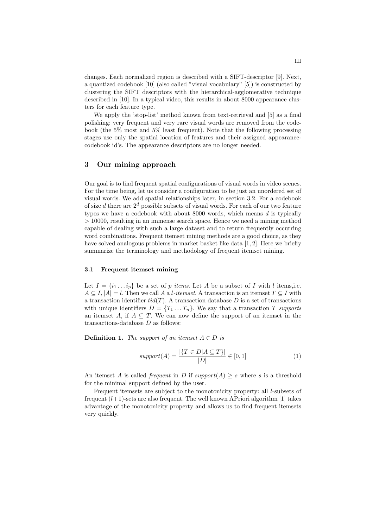changes. Each normalized region is described with a SIFT-descriptor [9]. Next, a quantized codebook [10] (also called "visual vocabulary" [5]) is constructed by clustering the SIFT descriptors with the hierarchical-agglomerative technique described in [10]. In a typical video, this results in about 8000 appearance clusters for each feature type.

We apply the 'stop-list' method known from text-retrieval and [5] as a final polishing: very frequent and very rare visual words are removed from the codebook (the 5% most and 5% least frequent). Note that the following processing stages use only the spatial location of features and their assigned appearancecodebook id's. The appearance descriptors are no longer needed.

## 3 Our mining approach

Our goal is to find frequent spatial configurations of visual words in video scenes. For the time being, let us consider a configuration to be just an unordered set of visual words. We add spatial relationships later, in section 3.2. For a codebook of size d there are  $2^d$  possible subsets of visual words. For each of our two feature types we have a codebook with about  $8000$  words, which means  $d$  is typically > 10000, resulting in an immense search space. Hence we need a mining method capable of dealing with such a large dataset and to return frequently occurring word combinations. Frequent itemset mining methods are a good choice, as they have solved analogous problems in market basket like data [1, 2]. Here we briefly summarize the terminology and methodology of frequent itemset mining.

#### 3.1 Frequent itemset mining

Let  $I = \{i_1 \dots i_p\}$  be a set of p items. Let A be a subset of I with l items, i.e.  $A \subseteq I, |A| = l$ . Then we call A a l-itemset. A transaction is an itemset  $T \subseteq I$  with a transaction identifier  $tid(T)$ . A transaction database D is a set of transactions with unique identifiers  $D = \{T_1 \dots T_n\}$ . We say that a transaction T supports an itemset A, if  $A \subseteq T$ . We can now define the support of an itemset in the transactions-database  $D$  as follows:

**Definition 1.** The support of an itemset  $A \in D$  is

$$
support(A) = \frac{|\{T \in D | A \subseteq T\}|}{|D|} \in [0, 1]
$$
\n
$$
(1)
$$

An itemset A is called *frequent* in D if  $support(A) \geq s$  where s is a threshold for the minimal support defined by the user.

Frequent itemsets are subject to the monotonicity property: all l-subsets of frequent  $(l+1)$ -sets are also frequent. The well known APriori algorithm [1] takes advantage of the monotonicity property and allows us to find frequent itemsets very quickly.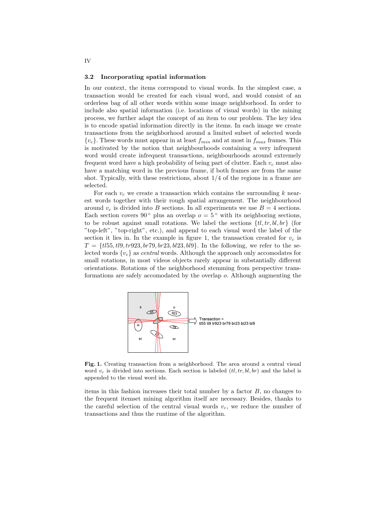#### 3.2 Incorporating spatial information

In our context, the items correspond to visual words. In the simplest case, a transaction would be created for each visual word, and would consist of an orderless bag of all other words within some image neighborhood. In order to include also spatial information (i.e. locations of visual words) in the mining process, we further adapt the concept of an item to our problem. The key idea is to encode spatial information directly in the items. In each image we create transactions from the neighborhood around a limited subset of selected words  ${v_c}$ . These words must appear in at least  $f_{min}$  and at most in  $f_{max}$  frames. This is motivated by the notion that neighbourhoods containing a very infrequent word would create infrequent transactions, neighbourhoods around extremely frequent word have a high probability of being part of clutter. Each  $v<sub>c</sub>$  must also have a matching word in the previous frame, if both frames are from the same shot. Typically, with these restrictions, about  $1/4$  of the regions in a frame are selected.

For each  $v_c$  we create a transaction which contains the surrounding k nearest words together with their rough spatial arrangement. The neighbourhood around  $v_c$  is divided into B sections. In all experiments we use  $B = 4$  sections. Each section covers 90 $\degree$  plus an overlap  $o = 5\degree$  with its neighboring sections, to be robust against small rotations. We label the sections  $\{tl, tr, bl, br\}$  (for "top-left", "top-right", etc.), and append to each visual word the label of the section it lies in. In the example in figure 1, the transaction created for  $v_c$  is  $T = \{t\bar{t}5, t\bar{t}9, tr923, br79, br23, bl23, bl9\}.$  In the following, we refer to the selected words  $\{v_c\}$  as *central* words. Although the approach only accomodates for small rotations, in most videos objects rarely appear in substantially different orientations. Rotations of the neighborhood stemming from perspective transformations are safely accomodated by the overlap o. Although augmenting the



Fig. 1. Creating transaction from a neighborhood. The area around a central visual word  $v_c$  is divided into sections. Each section is labeled  $(t, tr, bl, br)$  and the label is appended to the visual word ids.

items in this fashion increases their total number by a factor  $B$ , no changes to the frequent itemset mining algorithm itself are necessary. Besides, thanks to the careful selection of the central visual words  $v_c$ , we reduce the number of transactions and thus the runtime of the algorithm.

#### IV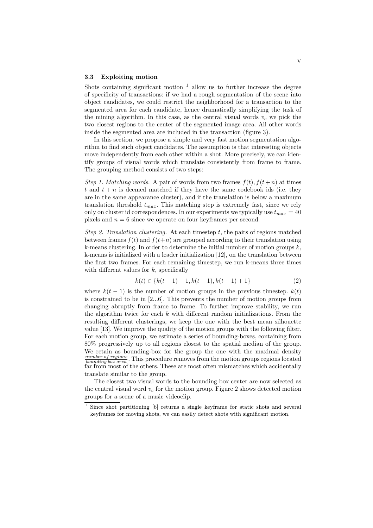#### 3.3 Exploiting motion

Shots containing significant motion  $1$  allow us to further increase the degree of specificity of transactions: if we had a rough segmentation of the scene into object candidates, we could restrict the neighborhood for a transaction to the segmented area for each candidate, hence dramatically simplifying the task of the mining algorithm. In this case, as the central visual words  $v_c$  we pick the two closest regions to the center of the segmented image area. All other words inside the segmented area are included in the transaction (figure 3).

In this section, we propose a simple and very fast motion segmentation algorithm to find such object candidates. The assumption is that interesting objects move independently from each other within a shot. More precisely, we can identify groups of visual words which translate consistently from frame to frame. The grouping method consists of two steps:

Step 1. Matching words. A pair of words from two frames  $f(t)$ ,  $f(t+n)$  at times t and  $t + n$  is deemed matched if they have the same codebook ids (i.e. they are in the same appearance cluster), and if the translation is below a maximum translation threshold  $t_{max}$ . This matching step is extremely fast, since we rely only on cluster id correspondences. In our experiments we typically use  $t_{max} = 40$ pixels and  $n = 6$  since we operate on four keyframes per second.

Step 2. Translation clustering. At each timestep t, the pairs of regions matched between frames  $f(t)$  and  $f(t+n)$  are grouped according to their translation using k-means clustering. In order to determine the initial number of motion groups  $k$ , k-means is initialized with a leader initialization [12], on the translation between the first two frames. For each remaining timestep, we run k-means three times with different values for  $k$ , specifically

$$
k(t) \in \{k(t-1) - 1, k(t-1), k(t-1) + 1\}
$$
 (2)

where  $k(t-1)$  is the number of motion groups in the previous timestep.  $k(t)$ is constrained to be in [2...6]. This prevents the number of motion groups from changing abruptly from frame to frame. To further improve stability, we run the algorithm twice for each  $k$  with different random initializations. From the resulting different clusterings, we keep the one with the best mean silhouette value [13]. We improve the quality of the motion groups with the following filter. For each motion group, we estimate a series of bounding-boxes, containing from 80% progressively up to all regions closest to the spatial median of the group. We retain as bounding-box for the group the one with the maximal density  $\frac{number\ of\ regions}{boundary\ box\ area}$ . This procedure removes from the motion groups regions located far from most of the others. These are most often mismatches which accidentally translate similar to the group.

The closest two visual words to the bounding box center are now selected as the central visual word  $v_c$  for the motion group. Figure 2 shows detected motion groups for a scene of a music videoclip.

<sup>&</sup>lt;sup>1</sup> Since shot partitioning [6] returns a single keyframe for static shots and several keyframes for moving shots, we can easily detect shots with significant motion.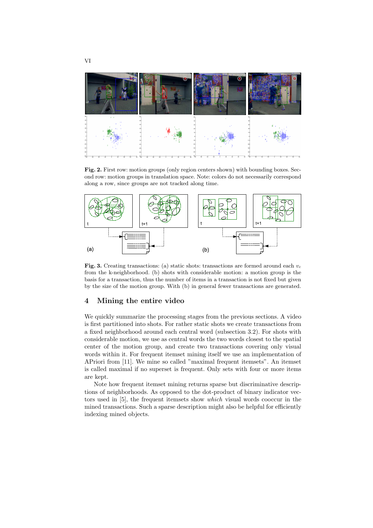

Fig. 2. First row: motion groups (only region centers shown) with bounding boxes. Second row: motion groups in translation space. Note: colors do not necessarily correspond along a row, since groups are not tracked along time.



Fig. 3. Creating transactions: (a) static shots: transactions are formed around each  $v_c$ from the k-neighborhood. (b) shots with considerable motion: a motion group is the basis for a transaction, thus the number of items in a transaction is not fixed but given by the size of the motion group. With (b) in general fewer transactions are generated.

# 4 Mining the entire video

We quickly summarize the processing stages from the previous sections. A video is first partitioned into shots. For rather static shots we create transactions from a fixed neighborhood around each central word (subsection 3.2). For shots with considerable motion, we use as central words the two words closest to the spatial center of the motion group, and create two transactions covering only visual words within it. For frequent itemset mining itself we use an implementation of APriori from [11]. We mine so called "maximal frequent itemsets". An itemset is called maximal if no superset is frequent. Only sets with four or more items are kept.

Note how frequent itemset mining returns sparse but discriminative descriptions of neighborhoods. As opposed to the dot-product of binary indicator vectors used in [5], the frequent itemsets show which visual words cooccur in the mined transactions. Such a sparse description might also be helpful for efficiently indexing mined objects.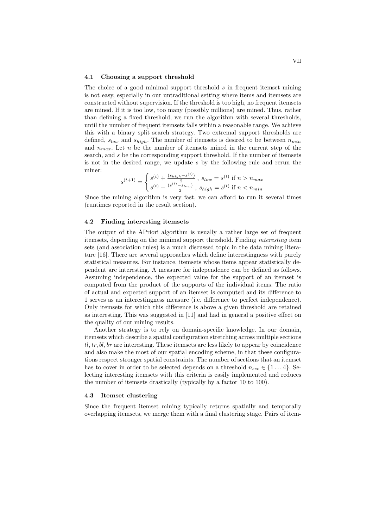#### 4.1 Choosing a support threshold

The choice of a good minimal support threshold  $s$  in frequent itemset mining is not easy, especially in our untraditional setting where items and itemsets are constructed without supervision. If the threshold is too high, no frequent itemsets are mined. If it is too low, too many (possibly millions) are mined. Thus, rather than defining a fixed threshold, we run the algorithm with several thresholds, until the number of frequent itemsets falls within a reasonable range. We achieve this with a binary split search strategy. Two extremal support thresholds are defined,  $s_{low}$  and  $s_{high}$ . The number of itemsets is desired to be between  $n_{min}$ and  $n_{max}$ . Let n be the number of itemsets mined in the current step of the search, and s be the corresponding support threshold. If the number of itemsets is not in the desired range, we update  $s$  by the following rule and rerun the miner:  $\overline{\phantom{a}}$ 

$$
s^{(t+1)} = \begin{cases} s^{(t)} + \frac{(s_{high} - s^{(t)})}{2}, & s_{low} = s^{(t)} \text{ if } n > n_{max} \\ s^{(t)} - \frac{(s^{(t)} - s_{low})}{2}, & s_{high} = s^{(t)} \text{ if } n < n_{min} \end{cases}
$$

Since the mining algorithm is very fast, we can afford to run it several times (runtimes reported in the result section).

#### 4.2 Finding interesting itemsets

The output of the APriori algorithm is usually a rather large set of frequent itemsets, depending on the minimal support threshold. Finding interesting item sets (and association rules) is a much discussed topic in the data mining literature [16]. There are several approaches which define interestingness with purely statistical measures. For instance, itemsets whose items appear statistically dependent are interesting. A measure for independence can be defined as follows. Assuming independence, the expected value for the support of an itemset is computed from the product of the supports of the individual items. The ratio of actual and expected support of an itemset is computed and its difference to 1 serves as an interestingness measure (i.e. difference to perfect independence). Only itemsets for which this difference is above a given threshold are retained as interesting. This was suggested in [11] and had in general a positive effect on the quality of our mining results.

Another strategy is to rely on domain-specific knowledge. In our domain, itemsets which describe a spatial configuration stretching across multiple sections  $tl, tr, bl, br$  are interesting. These itemsets are less likely to appear by coincidence and also make the most of our spatial encoding scheme, in that these configurations respect stronger spatial constraints. The number of sections that an itemset has to cover in order to be selected depends on a threshold  $n_{sec} \in \{1...4\}$ . Selecting interesting itemsets with this criteria is easily implemented and reduces the number of itemsets drastically (typically by a factor 10 to 100).

#### 4.3 Itemset clustering

Since the frequent itemset mining typically returns spatially and temporally overlapping itemsets, we merge them with a final clustering stage. Pairs of item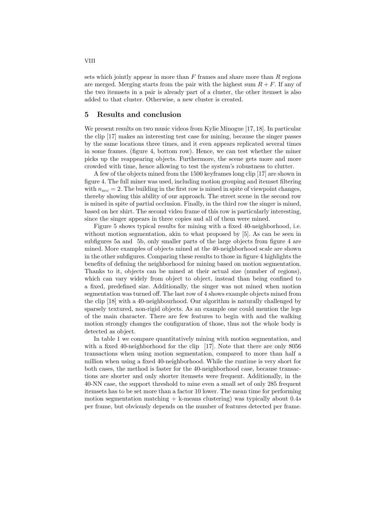sets which jointly appear in more than  $F$  frames and share more than  $R$  regions are merged. Merging starts from the pair with the highest sum  $R + F$ . If any of the two itemsets in a pair is already part of a cluster, the other itemset is also added to that cluster. Otherwise, a new cluster is created.

#### 5 Results and conclusion

We present results on two music videos from Kylie Minogue [17, 18]. In particular the clip [17] makes an interesting test case for mining, because the singer passes by the same locations three times, and it even appears replicated several times in some frames. (figure 4, bottom row). Hence, we can test whether the miner picks up the reappearing objects. Furthermore, the scene gets more and more crowded with time, hence allowing to test the system's robustness to clutter.

A few of the objects mined from the 1500 keyframes long clip [17] are shown in figure 4. The full miner was used, including motion grouping and itemset filtering with  $n_{sec} = 2$ . The building in the first row is mined in spite of viewpoint changes, thereby showing this ability of our approach. The street scene in the second row is mined in spite of partial occlusion. Finally, in the third row the singer is mined, based on her shirt. The second video frame of this row is particularly interesting, since the singer appears in three copies and all of them were mined.

Figure 5 shows typical results for mining with a fixed 40-neighborhood, i.e. without motion segmentation, akin to what proposed by [5]. As can be seen in subfigures 5a and 5b, only smaller parts of the large objects from figure 4 are mined. More examples of objects mined at the 40-neighborhood scale are shown in the other subfigures. Comparing these results to those in figure 4 highlights the benefits of defining the neighborhood for mining based on motion segmentation. Thanks to it, objects can be mined at their actual size (number of regions), which can vary widely from object to object, instead than being confined to a fixed, predefined size. Additionally, the singer was not mined when motion segmentation was turned off. The last row of 4 shows example objects mined from the clip [18] with a 40-neighbourhood. Our algorithm is naturally challenged by sparsely textured, non-rigid objects. As an example one could mention the legs of the main character. There are few features to begin with and the walking motion strongly changes the configuration of those, thus not the whole body is detected as object.

In table 1 we compare quantitatively mining with motion segmentation, and with a fixed 40-neighborhood for the clip [17]. Note that there are only 8056 transactions when using motion segmentation, compared to more than half a million when using a fixed 40-neighborhood. While the runtime is very short for both cases, the method is faster for the 40-neighborhood case, because transactions are shorter and only shorter itemsets were frequent. Additionally, in the 40-NN case, the support threshold to mine even a small set of only 285 frequent itemsets has to be set more than a factor 10 lower. The mean time for performing motion segmentation matching  $+$  k-means clustering) was typically about 0.4s per frame, but obviously depends on the number of features detected per frame.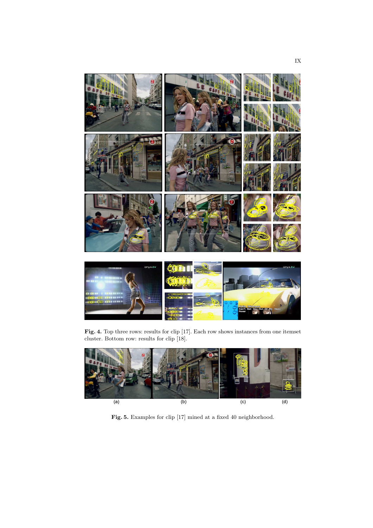

Fig. 4. Top three rows: results for clip [17]. Each row shows instances from one itemset cluster. Bottom row: results for clip [18].



Fig. 5. Examples for clip [17] mined at a fixed 40 neighborhood.